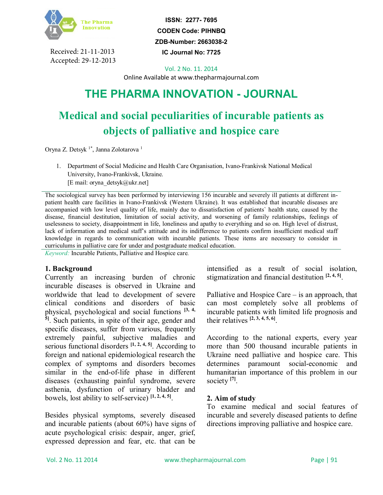

Received: 21-11-2013 Accepted: 29-12-2013

**ISSN: 2277- 7695 CODEN Code: PIHNBQ ZDB-Number: 2663038-2**

**IC Journal No: 7725**

Vol. 2 No. 11. 2014

Online Available at www.thepharmajournal.com

# **THE PHARMA INNOVATION - JOURNAL**

# **Medical and social peculiarities of incurable patients as objects of palliative and hospice care**

Oryna Z. Detsyk <sup>1\*</sup>, Janna Zolotarova <sup>1</sup>

1. Department of Social Medicine and Health Care Organisation, Ivano-Frankivsk National Medical University, Ivano-Frankivsk, Ukraine. [E mail: oryna\_detsyk@ukr.net]

The sociological survey has been performed by interviewing 156 incurable and severely ill patients at different inpatient health care facilities in Ivano-Frankivsk (Western Ukraine). It was established that incurable diseases are accompanied with low level quality of life, mainly due to dissatisfaction of patients` health state, caused by the disease, financial destitution, limitation of social activity, and worsening of family relationships, feelings of uselessness to society, disappointment in life, loneliness and apathy to everything and so on. High level of distrust, lack of information and medical staff's attitude and its indifference to patients confirm insufficient medical staff knowledge in regards to communication with incurable patients. These items are necessary to consider in curriculums in palliative care for under and postgraduate medical education.

*Keyword:* Incurable Patients, Palliative and Hospice care*.*

#### **1. Background**

Currently an increasing burden of chronic incurable diseases is observed in Ukraine and worldwide that lead to development of severe clinical conditions and disorders of basic physical, psychological and social functions **[3, 4, 5]** . Such patients, in spite of their age, gender and specific diseases, suffer from various, frequently extremely painful, subjective maladies and serious functional disorders **[1, 2, 4, 5]**. According to foreign and national epidemiological research the complex of symptoms and disorders becomes similar in the end-of-life phase in different diseases (exhausting painful syndrome, severe asthenia, dysfunction of urinary bladder and bowels, lost ability to self-service) **[1, 2, 4, 5]** .

Besides physical symptoms, severely diseased and incurable patients (about 60%) have signs of acute psychological crisis: despair, anger, grief, expressed depression and fear, etc. that can be intensified as a result of social isolation, stigmatization and financial destitution **[2, 4, 5]** .

Palliative and Hospice Care – is an approach, that can most completely solve all problems of incurable patients with limited life prognosis and their relatives **[2, 3, 4, 5, 6]** .

According to the national experts, every year more than 500 thousand incurable patients in Ukraine need palliative and hospice care. This determines paramount social-economic and humanitarian importance of this problem in our society **[7]** .

### **2. Aim of study**

To examine medical and social features of incurable and severely diseased patients to define directions improving palliative and hospice care.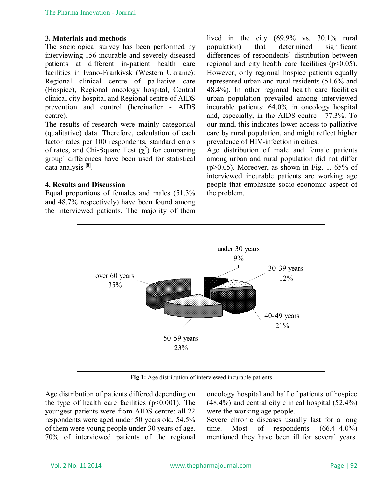## **3. Materials and methods**

The sociological survey has been performed by interviewing 156 incurable and severely diseased patients at different in-patient health care facilities in Ivano-Frankivsk (Western Ukraine): Regional clinical centre of palliative care (Hospice), Regional oncology hospital, Central clinical city hospital and Regional centre of AIDS prevention and control (hereinafter - AIDS centre).

The results of research were mainly categorical (qualitative) data. Therefore, calculation of each factor rates per 100 respondents, standard errors of rates, and Chi-Square Test  $(\chi^2)$  for comparing group` differences have been used for statistical data analysis **[8]** .

## **4. Results and Discussion**

Equal proportions of females and males (51.3% and 48.7% respectively) have been found among the interviewed patients. The majority of them lived in the city (69.9% vs. 30.1% rural population) that determined significant differences of respondents` distribution between regional and city health care facilities  $(p<0.05)$ . However, only regional hospice patients equally represented urban and rural residents (51.6% and 48.4%). In other regional health care facilities urban population prevailed among interviewed incurable patients: 64.0% in oncology hospital and, especially, in the AIDS centre - 77.3%. To our mind, this indicates lower access to palliative care by rural population, and might reflect higher prevalence of HIV-infection in cities.

Age distribution of male and female patients among urban and rural population did not differ  $(p>0.05)$ . Moreover, as shown in Fig. 1, 65% of interviewed incurable patients are working age people that emphasize socio-economic aspect of the problem.



**Fig 1:** Age distribution of interviewed incurable patients

Age distribution of patients differed depending on the type of health care facilities  $(p<0.001)$ . The youngest patients were from AIDS centre: all 22 respondents were aged under 50 years old, 54.5% of them were young people under 30 years of age. 70% of interviewed patients of the regional oncology hospital and half of patients of hospice (48.4%) and central city clinical hospital (52.4%) were the working age people.

Severe chronic diseases usually last for a long time. Most of respondents  $(66.4\pm4.0\%)$ mentioned they have been ill for several years.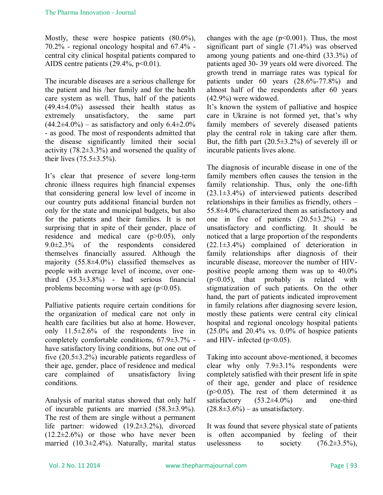Mostly, these were hospice patients (80.0%), 70.2% - regional oncology hospital and 67.4% central city clinical hospital patients compared to AIDS centre patients  $(29.4\%, p<0.01)$ .

The incurable diseases are a serious challenge for the patient and his /her family and for the health care system as well. Thus, half of the patients (49.4±4.0%) assessed their health status as extremely unsatisfactory, the same part  $(44.2\pm4.0\%)$  – as satisfactory and only 6.4 $\pm2.0\%$ - as good. The most of respondents admitted that the disease significantly limited their social activity  $(78.2 \pm 3.3\%)$  and worsened the quality of their lives  $(75.5 \pm 3.5\%)$ .

It's clear that presence of severe long-term chronic illness requires high financial expenses that considering general low level of income in our country puts additional financial burden not only for the state and municipal budgets, but also for the patients and their families. It is not surprising that in spite of their gender, place of residence and medical care (p>0.05), only 9.0±2.3% of the respondents considered themselves financially assured. Although the majority  $(55.8\pm4.0\%)$  classified themselves as people with average level of income, over onethird  $(35.3\pm3.8\%)$  - had serious financial problems becoming worse with age  $(p<0.05)$ .

Palliative patients require certain conditions for the organization of medical care not only in health care facilities but also at home. However, only  $11.5\pm2.6\%$  of the respondents live in completely comfortable conditions, 67.9±3.7% have satisfactory living conditions, but one out of five (20.5±3.2%) incurable patients regardless of their age, gender, place of residence and medical care complained of unsatisfactory living conditions.

Analysis of marital status showed that only half of incurable patients are married (58.3±3.9%). The rest of them are single without a permanent life partner: widowed (19.2±3.2%), divorced  $(12.2\pm 2.6\%)$  or those who have never been married (10.3±2.4%). Naturally, marital status changes with the age  $(p<0.001)$ . Thus, the most significant part of single (71.4%) was observed among young patients and one-third (33.3%) of patients aged 30- 39 years old were divorced. The growth trend in marriage rates was typical for patients under 60 years (28.6%-77.8%) and almost half of the respondents after 60 years (42.9%) were widowed.

It's known the system of palliative and hospice care in Ukraine is not formed yet, that's why family members of severely diseased patients play the central role in taking care after them. But, the fifth part  $(20.5\pm3.2\%)$  of severely ill or incurable patients lives alone.

The diagnosis of incurable disease in one of the family members often causes the tension in the family relationship. Thus, only the one-fifth  $(23.1\pm3.4\%)$  of interviewed patients described relationships in their families as friendly, others – 55.8±4.0% characterized them as satisfactory and one in five of patients  $(20.5\pm3.2\%)$  - as unsatisfactory and conflicting. It should be noticed that a large proportion of the respondents (22.1±3.4%) complained of deterioration in family relationships after diagnosis of their incurable disease, moreover the number of HIVpositive people among them was up to 40.0% (p<0.05), that probably is related with stigmatization of such patients. On the other hand, the part of patients indicated improvement in family relations after diagnosing severe lesion, mostly these patients were central city clinical hospital and regional oncology hospital patients (25.0% and 20.4% vs. 0.0% of hospice patients and HIV- infected ( $p<0.05$ ).

Taking into account above-mentioned, it becomes clear why only 7.9±3.1% respondents were completely satisfied with their present life in spite of their age, gender and place of residence  $(p>0.05)$ . The rest of them determined it as satisfactory  $(53.2\pm4.0\%)$  and one-third  $(28.8\pm3.6\%)$  – as unsatisfactory.

It was found that severe physical state of patients is often accompanied by feeling of their uselessness to society  $(76.2 \pm 3.5\%)$ ,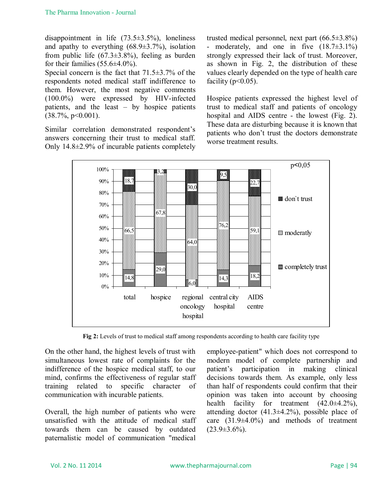disappointment in life  $(73.5\pm3.5\%)$ , loneliness and apathy to everything  $(68.9 \pm 3.7\%)$ , isolation from public life  $(67.3\pm3.8\%)$ , feeling as burden for their families  $(55.6\pm4.0\%)$ .

Special concern is the fact that 71.5±3.7% of the respondents noted medical staff indifference to them. However, the most negative comments (100.0%) were expressed by HIV-infected patients, and the least – by hospice patients  $(38.7\%, p<0.001)$ .

Similar correlation demonstrated respondent's answers concerning their trust to medical staff. Only 14.8±2.9% of incurable patients completely trusted medical personnel, next part  $(66.5\pm3.8\%)$ - moderately, and one in five  $(18.7\pm3.1\%)$ strongly expressed their lack of trust. Moreover, as shown in Fig. 2, the distribution of these values clearly depended on the type of health care facility ( $p<0.05$ ).

Hospice patients expressed the highest level of trust to medical staff and patients of oncology hospital and AIDS centre - the lowest (Fig. 2). These data are disturbing because it is known that patients who don't trust the doctors demonstrate worse treatment results.



**Fig 2:** Levels of trust to medical staff among respondents according to health care facility type

On the other hand, the highest levels of trust with simultaneous lowest rate of complaints for the indifference of the hospice medical staff, to our mind, confirms the effectiveness of regular staff training related to specific character of communication with incurable patients.

Overall, the high number of patients who were unsatisfied with the attitude of medical staff towards them can be caused by outdated paternalistic model of communication "medical employee-patient" which does not correspond to modern model of complete partnership and patient's participation in making clinical decisions towards them. As example, only less than half of respondents could confirm that their opinion was taken into account by choosing health facility for treatment  $(42.0\pm4.2\%)$ , attending doctor (41.3±4.2%), possible place of care  $(31.9\pm4.0\%)$  and methods of treatment  $(23.9\pm3.6\%)$ .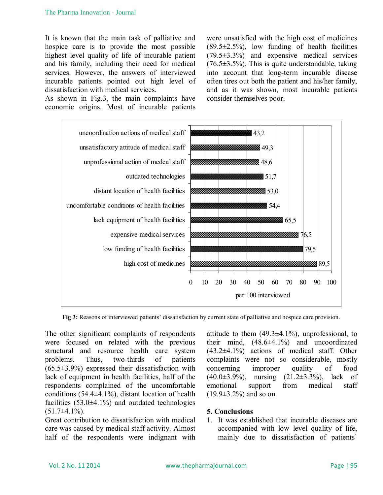It is known that the main task of palliative and hospice care is to provide the most possible highest level quality of life of incurable patient and his family, including their need for medical services. However, the answers of interviewed incurable patients pointed out high level of dissatisfaction with medical services.

As shown in Fig.3, the main complaints have economic origins. Most of incurable patients were unsatisfied with the high cost of medicines  $(89.5\pm2.5\%)$ , low funding of health facilities (79.5±3.3%) and expensive medical services  $(76.5\pm3.5\%)$ . This is quite understandable, taking into account that long-term incurable disease often tires out both the patient and his/her family, and as it was shown, most incurable patients consider themselves poor.



**Fig 3:** Reasons of interviewed patients' dissatisfaction by current state of palliative and hospice care provision.

The other significant complaints of respondents were focused on related with the previous structural and resource health care system problems. Thus, two-thirds of patients  $(65.5\pm3.9\%)$  expressed their dissatisfaction with lack of equipment in health facilities, half of the respondents complained of the uncomfortable conditions  $(54.4\pm4.1\%)$ , distant location of health facilities  $(53.0\pm4.1\%)$  and outdated technologies  $(51.7\pm4.1\%)$ .

Great contribution to dissatisfaction with medical care was caused by medical staff activity. Almost half of the respondents were indignant with

attitude to them  $(49.3\pm4.1\%)$ , unprofessional, to their mind,  $(48.6\pm4.1\%)$  and uncoordinated (43.2±4.1%) actions of medical staff. Other complaints were not so considerable, mostly concerning improper quality of food (40.0±3.9%), nursing (21.2±3.3%), lack of emotional support from medical staff  $(19.9\pm3.2\%)$  and so on.

### **5. Conclusions**

1. It was established that incurable diseases are accompanied with low level quality of life, mainly due to dissatisfaction of patients`